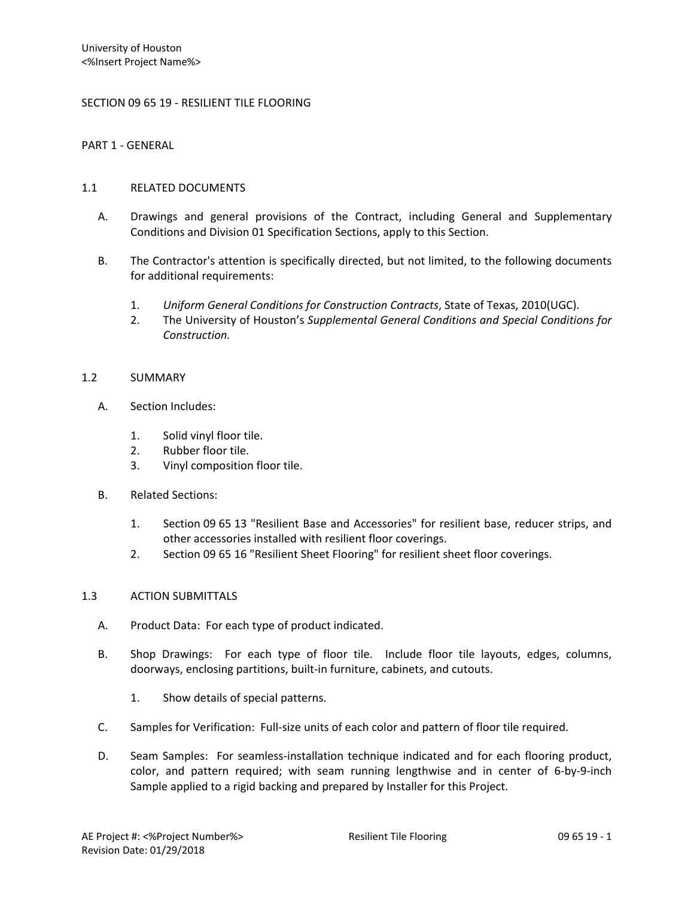## SECTION 09 65 19 - RESILIENT TILE FLOORING

PART 1 - GENERAL

## 1.1 RELATED DOCUMENTS

- A. Drawings and general provisions of the Contract, including General and Supplementary Conditions and Division 01 Specification Sections, apply to this Section.
- B. The Contractor's attention is specifically directed, but not limited, to the following documents for additional requirements:
	- 1. *Uniform General Conditions for Construction Contracts*, State of Texas, 2010(UGC).
	- 2. The University of Houston's *Supplemental General Conditions and Special Conditions for Construction.*

### 1.2 SUMMARY

- A. Section Includes:
	- 1. Solid vinyl floor tile.
	- 2. Rubber floor tile.
	- 3. Vinyl composition floor tile.
- B. Related Sections:
	- 1. Section 09 65 13 "Resilient Base and Accessories" for resilient base, reducer strips, and other accessories installed with resilient floor coverings.
	- 2. Section 09 65 16 "Resilient Sheet Flooring" for resilient sheet floor coverings.

### 1.3 ACTION SUBMITTALS

- A. Product Data: For each type of product indicated.
- B. Shop Drawings: For each type of floor tile. Include floor tile layouts, edges, columns, doorways, enclosing partitions, built-in furniture, cabinets, and cutouts.
	- 1. Show details of special patterns.
- C. Samples for Verification: Full-size units of each color and pattern of floor tile required.
- D. Seam Samples: For seamless-installation technique indicated and for each flooring product, color, and pattern required; with seam running lengthwise and in center of 6-by-9-inch Sample applied to a rigid backing and prepared by Installer for this Project.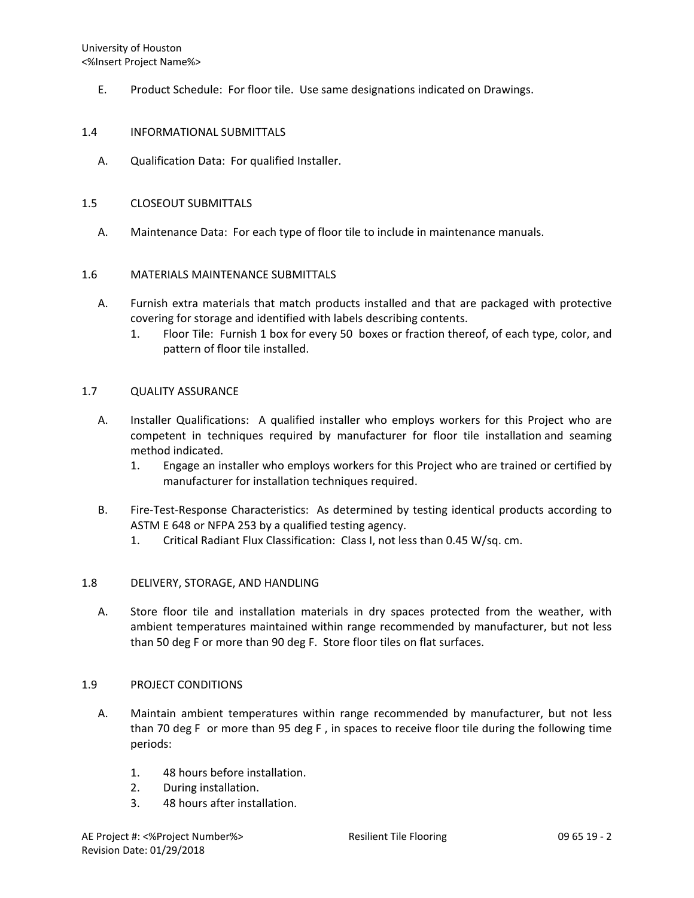E. Product Schedule: For floor tile. Use same designations indicated on Drawings.

## 1.4 INFORMATIONAL SUBMITTALS

A. Qualification Data: For qualified Installer.

## 1.5 CLOSEOUT SUBMITTALS

A. Maintenance Data: For each type of floor tile to include in maintenance manuals.

## 1.6 MATERIALS MAINTENANCE SUBMITTALS

- A. Furnish extra materials that match products installed and that are packaged with protective covering for storage and identified with labels describing contents.
	- 1. Floor Tile: Furnish 1 box for every 50 boxes or fraction thereof, of each type, color, and pattern of floor tile installed.

### 1.7 QUALITY ASSURANCE

- A. Installer Qualifications: A qualified installer who employs workers for this Project who are competent in techniques required by manufacturer for floor tile installation and seaming method indicated.
	- 1. Engage an installer who employs workers for this Project who are trained or certified by manufacturer for installation techniques required.
- B. Fire-Test-Response Characteristics: As determined by testing identical products according to ASTM E 648 or NFPA 253 by a qualified testing agency.
	- 1. Critical Radiant Flux Classification: Class I, not less than 0.45 W/sq. cm.

# 1.8 DELIVERY, STORAGE, AND HANDLING

A. Store floor tile and installation materials in dry spaces protected from the weather, with ambient temperatures maintained within range recommended by manufacturer, but not less than 50 deg F or more than 90 deg F. Store floor tiles on flat surfaces.

### 1.9 PROJECT CONDITIONS

- A. Maintain ambient temperatures within range recommended by manufacturer, but not less than 70 deg F or more than 95 deg F , in spaces to receive floor tile during the following time periods:
	- 1. 48 hours before installation.
	- 2. During installation.
	- 3. 48 hours after installation.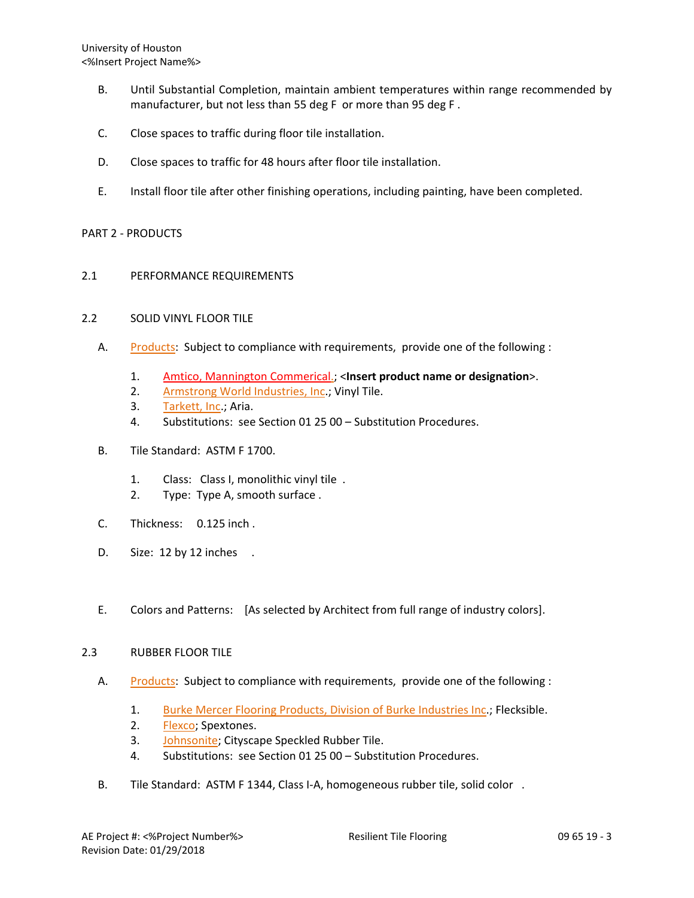University of Houston <%Insert Project Name%>

- B. Until Substantial Completion, maintain ambient temperatures within range recommended by manufacturer, but not less than 55 deg F or more than 95 deg F .
- C. Close spaces to traffic during floor tile installation.
- D. Close spaces to traffic for 48 hours after floor tile installation.
- E. Install floor tile after other finishing operations, including painting, have been completed.

## PART 2 - PRODUCTS

2.1 PERFORMANCE REQUIREMENTS

# 2.2 SOLID VINYL FLOOR TILE

- A. [Products:](http://www.specagent.com/LookUp/?ulid=482&mf=04&src=wd) Subject to compliance with requirements, provide one of the following :
	- 1. Amtico, Mannington Commerical.; <**Insert product name or designation**>.
	- 2. [Armstrong World Industries, Inc.](http://www.specagent.com/LookUp/?uid=123456789441&mf=04&src=wd); Vinyl Tile.
	- 3. [Tarkett, Inc.](http://www.specagent.com/LookUp/?uid=123456792997&mf=04&src=wd); Aria.
	- 4. Substitutions: see Section 01 25 00 Substitution Procedures.
- B. Tile Standard: ASTM F 1700.
	- 1. Class: Class I, monolithic vinyl tile .
	- 2. Type: Type A, smooth surface .
- C. Thickness: 0.125 inch .
- D. Size: 12 by 12 inches.
- E. Colors and Patterns: [As selected by Architect from full range of industry colors].

### 2.3 RUBBER FLOOR TILE

- A. [Products:](http://www.specagent.com/LookUp/?ulid=483&mf=04&src=wd) Subject to compliance with requirements, provide one of the following :
	- 1. [Burke Mercer Flooring Products, Division of Burke Industries Inc.](http://www.specagent.com/LookUp/?uid=123456793008&mf=04&src=wd); Flecksible.
	- 2. [Flexco;](http://www.specagent.com/LookUp/?uid=123456814823&mf=04&src=wd) Spextones.
	- 3. [Johnsonite;](http://www.specagent.com/LookUp/?uid=123456789494&mf=04&src=wd) Cityscape Speckled Rubber Tile.
	- 4. Substitutions: see Section 01 25 00 Substitution Procedures.
- B. Tile Standard: ASTM F 1344, Class I-A, homogeneous rubber tile, solid color .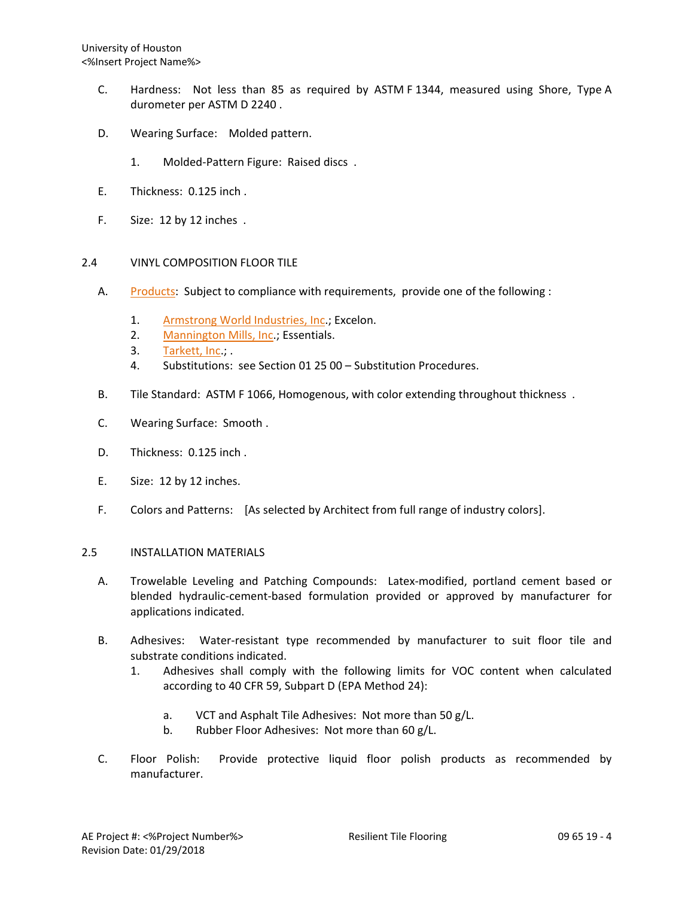- C. Hardness: Not less than 85 as required by ASTM F 1344, measured using Shore, Type A durometer per ASTM D 2240 .
- D. Wearing Surface: Molded pattern.
	- 1. Molded-Pattern Figure: Raised discs .
- E. Thickness: 0.125 inch .
- F. Size: 12 by 12 inches .

# 2.4 VINYL COMPOSITION FLOOR TILE

- A. [Products:](http://www.specagent.com/LookUp/?ulid=484&mf=04&src=wd) Subject to compliance with requirements, provide one of the following :
	- 1. [Armstrong World Industries, Inc.](http://www.specagent.com/LookUp/?uid=123456789500&mf=04&src=wd); Excelon.
	- 2. [Mannington Mills, Inc.](http://www.specagent.com/LookUp/?uid=123456789505&mf=04&src=wd); Essentials.
	- 3. [Tarkett, Inc.](http://www.specagent.com/LookUp/?uid=123456793038&mf=04&src=wd); .
	- 4. Substitutions: see Section 01 25 00 Substitution Procedures.
- B. Tile Standard: ASTM F 1066, Homogenous, with color extending throughout thickness .
- C. Wearing Surface: Smooth .
- D. Thickness: 0.125 inch .
- E. Size: 12 by 12 inches.
- F. Colors and Patterns: [As selected by Architect from full range of industry colors].

### 2.5 INSTALLATION MATERIALS

- A. Trowelable Leveling and Patching Compounds: Latex-modified, portland cement based or blended hydraulic-cement-based formulation provided or approved by manufacturer for applications indicated.
- B. Adhesives: Water-resistant type recommended by manufacturer to suit floor tile and substrate conditions indicated.
	- 1. Adhesives shall comply with the following limits for VOC content when calculated according to 40 CFR 59, Subpart D (EPA Method 24):
		- a. VCT and Asphalt Tile Adhesives: Not more than 50 g/L.
		- b. Rubber Floor Adhesives: Not more than 60 g/L.
- C. Floor Polish: Provide protective liquid floor polish products as recommended by manufacturer.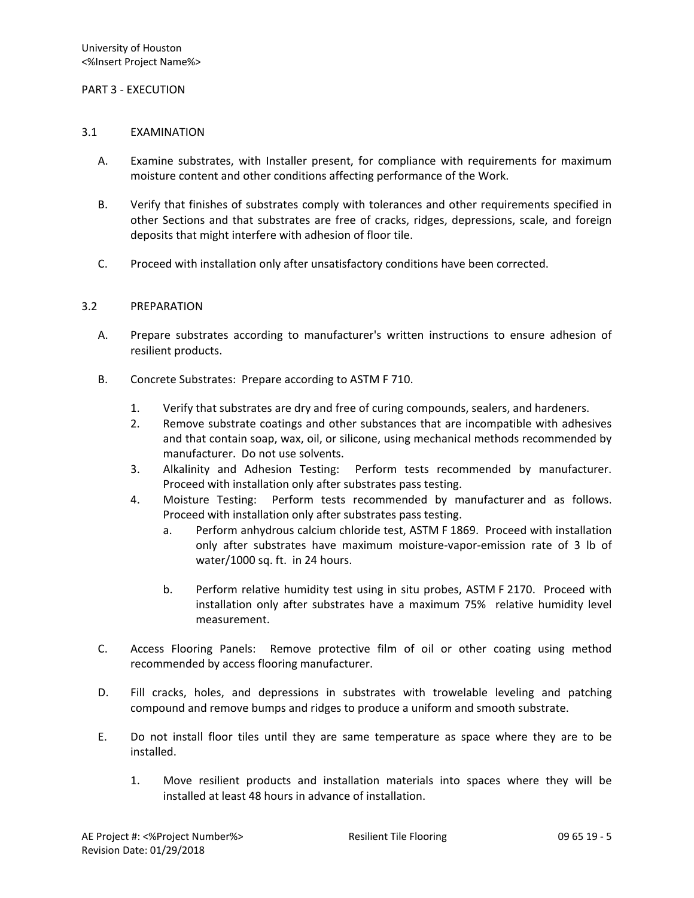### PART 3 - EXECUTION

#### 3.1 EXAMINATION

- A. Examine substrates, with Installer present, for compliance with requirements for maximum moisture content and other conditions affecting performance of the Work.
- B. Verify that finishes of substrates comply with tolerances and other requirements specified in other Sections and that substrates are free of cracks, ridges, depressions, scale, and foreign deposits that might interfere with adhesion of floor tile.
- C. Proceed with installation only after unsatisfactory conditions have been corrected.

### 3.2 PREPARATION

- A. Prepare substrates according to manufacturer's written instructions to ensure adhesion of resilient products.
- B. Concrete Substrates: Prepare according to ASTM F 710.
	- 1. Verify that substrates are dry and free of curing compounds, sealers, and hardeners.
	- 2. Remove substrate coatings and other substances that are incompatible with adhesives and that contain soap, wax, oil, or silicone, using mechanical methods recommended by manufacturer. Do not use solvents.
	- 3. Alkalinity and Adhesion Testing: Perform tests recommended by manufacturer. Proceed with installation only after substrates pass testing.
	- 4. Moisture Testing: Perform tests recommended by manufacturer and as follows. Proceed with installation only after substrates pass testing.
		- a. Perform anhydrous calcium chloride test, ASTM F 1869. Proceed with installation only after substrates have maximum moisture-vapor-emission rate of 3 lb of water/1000 sq. ft. in 24 hours.
		- b. Perform relative humidity test using in situ probes, ASTM F 2170. Proceed with installation only after substrates have a maximum 75% relative humidity level measurement.
- C. Access Flooring Panels: Remove protective film of oil or other coating using method recommended by access flooring manufacturer.
- D. Fill cracks, holes, and depressions in substrates with trowelable leveling and patching compound and remove bumps and ridges to produce a uniform and smooth substrate.
- E. Do not install floor tiles until they are same temperature as space where they are to be installed.
	- 1. Move resilient products and installation materials into spaces where they will be installed at least 48 hours in advance of installation.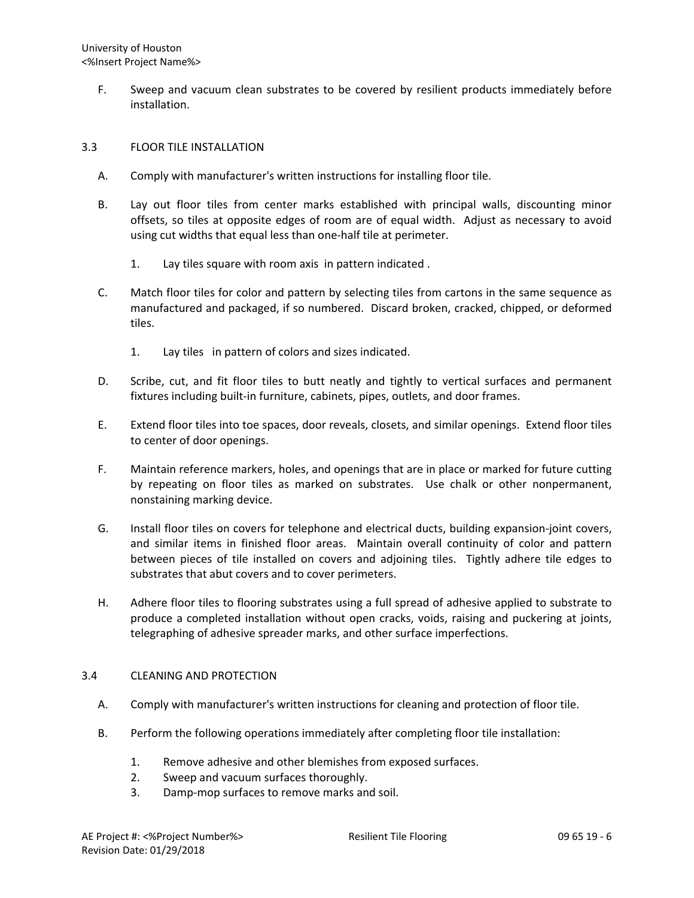F. Sweep and vacuum clean substrates to be covered by resilient products immediately before installation.

# 3.3 FLOOR TILE INSTALLATION

- A. Comply with manufacturer's written instructions for installing floor tile.
- B. Lay out floor tiles from center marks established with principal walls, discounting minor offsets, so tiles at opposite edges of room are of equal width. Adjust as necessary to avoid using cut widths that equal less than one-half tile at perimeter.
	- 1. Lay tiles square with room axis in pattern indicated .
- C. Match floor tiles for color and pattern by selecting tiles from cartons in the same sequence as manufactured and packaged, if so numbered. Discard broken, cracked, chipped, or deformed tiles.
	- 1. Lay tiles in pattern of colors and sizes indicated.
- D. Scribe, cut, and fit floor tiles to butt neatly and tightly to vertical surfaces and permanent fixtures including built-in furniture, cabinets, pipes, outlets, and door frames.
- E. Extend floor tiles into toe spaces, door reveals, closets, and similar openings. Extend floor tiles to center of door openings.
- F. Maintain reference markers, holes, and openings that are in place or marked for future cutting by repeating on floor tiles as marked on substrates. Use chalk or other nonpermanent, nonstaining marking device.
- G. Install floor tiles on covers for telephone and electrical ducts, building expansion-joint covers, and similar items in finished floor areas. Maintain overall continuity of color and pattern between pieces of tile installed on covers and adjoining tiles. Tightly adhere tile edges to substrates that abut covers and to cover perimeters.
- H. Adhere floor tiles to flooring substrates using a full spread of adhesive applied to substrate to produce a completed installation without open cracks, voids, raising and puckering at joints, telegraphing of adhesive spreader marks, and other surface imperfections.

## 3.4 CLEANING AND PROTECTION

- A. Comply with manufacturer's written instructions for cleaning and protection of floor tile.
- B. Perform the following operations immediately after completing floor tile installation:
	- 1. Remove adhesive and other blemishes from exposed surfaces.
	- 2. Sweep and vacuum surfaces thoroughly.
	- 3. Damp-mop surfaces to remove marks and soil.